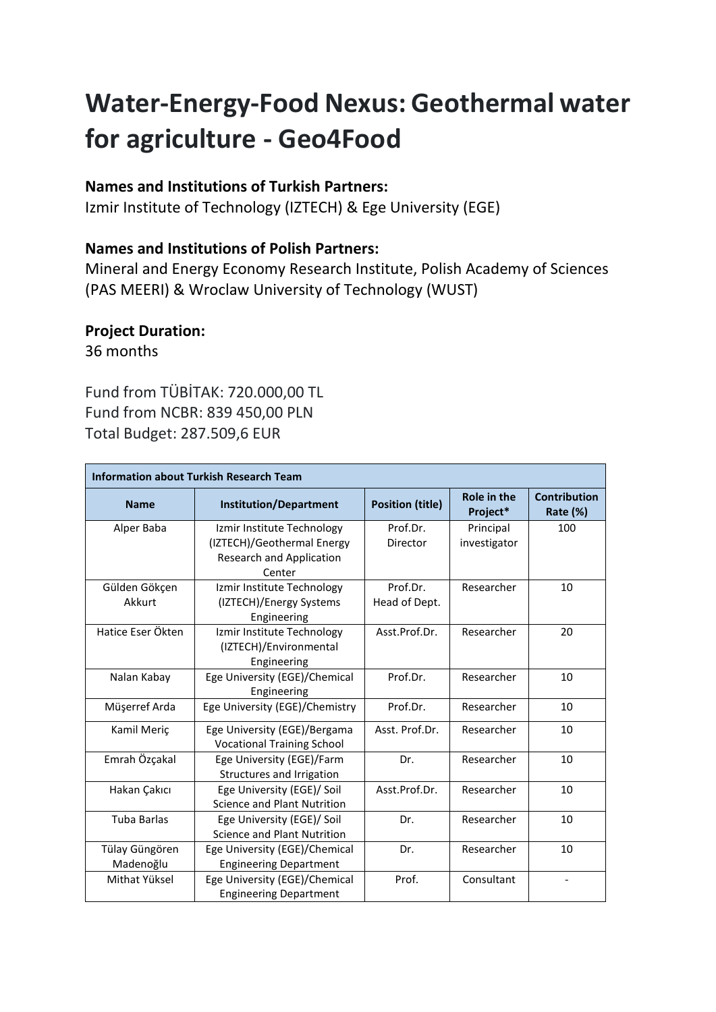# **Water-Energy-Food Nexus: Geothermal water for agriculture - Geo4Food**

### **Names and Institutions of Turkish Partners:**

Izmir Institute of Technology (IZTECH) & Ege University (EGE)

## **Names and Institutions of Polish Partners:**

Mineral and Energy Economy Research Institute, Polish Academy of Sciences (PAS MEERI) & Wroclaw University of Technology (WUST)

# **Project Duration:**

36 months

Fund from TÜBİTAK: 720.000,00 TL Fund from NCBR: 839 450,00 PLN Total Budget: 287.509,6 EUR

| <b>Information about Turkish Research Team</b> |                                    |                         |                                |                                 |  |  |
|------------------------------------------------|------------------------------------|-------------------------|--------------------------------|---------------------------------|--|--|
| <b>Name</b>                                    | <b>Institution/Department</b>      | <b>Position (title)</b> | <b>Role in the</b><br>Project* | <b>Contribution</b><br>Rate (%) |  |  |
| Alper Baba                                     | Izmir Institute Technology         | Prof.Dr.                | Principal                      | 100                             |  |  |
|                                                | (IZTECH)/Geothermal Energy         | Director                | investigator                   |                                 |  |  |
|                                                | <b>Research and Application</b>    |                         |                                |                                 |  |  |
|                                                | Center                             |                         |                                |                                 |  |  |
| Gülden Gökçen                                  | Izmir Institute Technology         | Prof.Dr.                | Researcher                     | 10                              |  |  |
| Akkurt                                         | (IZTECH)/Energy Systems            | Head of Dept.           |                                |                                 |  |  |
|                                                | Engineering                        |                         |                                |                                 |  |  |
| Hatice Eser Ökten                              | Izmir Institute Technology         | Asst.Prof.Dr.           | Researcher                     | 20                              |  |  |
|                                                | (IZTECH)/Environmental             |                         |                                |                                 |  |  |
|                                                | Engineering                        |                         |                                |                                 |  |  |
| Nalan Kabay                                    | Ege University (EGE)/Chemical      | Prof.Dr.                | Researcher                     | 10                              |  |  |
|                                                | Engineering                        |                         |                                |                                 |  |  |
| Müşerref Arda                                  | Ege University (EGE)/Chemistry     | Prof.Dr.                | Researcher                     | 10                              |  |  |
| Kamil Meriç                                    | Ege University (EGE)/Bergama       | Asst. Prof.Dr.          | Researcher                     | 10                              |  |  |
|                                                | <b>Vocational Training School</b>  |                         |                                |                                 |  |  |
| Emrah Özçakal                                  | Ege University (EGE)/Farm          | Dr.                     | Researcher                     | 10                              |  |  |
|                                                | Structures and Irrigation          |                         |                                |                                 |  |  |
| Hakan Çakıcı                                   | Ege University (EGE)/ Soil         | Asst.Prof.Dr.           | Researcher                     | 10                              |  |  |
|                                                | <b>Science and Plant Nutrition</b> |                         |                                |                                 |  |  |
| <b>Tuba Barlas</b>                             | Ege University (EGE)/ Soil         | Dr.                     | Researcher                     | 10                              |  |  |
|                                                | Science and Plant Nutrition        |                         |                                |                                 |  |  |
| Tülay Güngören                                 | Ege University (EGE)/Chemical      | Dr.                     | Researcher                     | 10                              |  |  |
| Madenoğlu                                      | <b>Engineering Department</b>      |                         |                                |                                 |  |  |
| Mithat Yüksel                                  | Ege University (EGE)/Chemical      | Prof.                   | Consultant                     | $\overline{\phantom{a}}$        |  |  |
|                                                | <b>Engineering Department</b>      |                         |                                |                                 |  |  |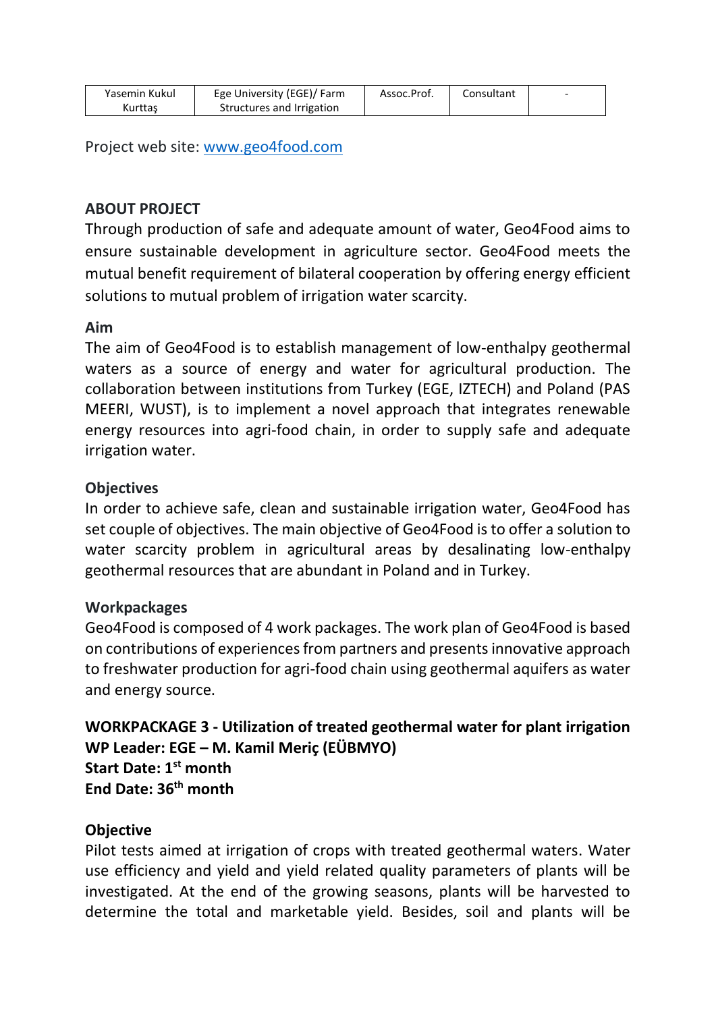| Yasemin Kukul | Ege University (EGE)/ Farm | Assoc.Prof. | Consultant |  |
|---------------|----------------------------|-------------|------------|--|
| Kurttas       | Structures and Irrigation  |             |            |  |

Project web site: [www.geo4food.com](http://www.geo4food.com/)

# **ABOUT PROJECT**

Through production of safe and adequate amount of water, Geo4Food aims to ensure sustainable development in agriculture sector. Geo4Food meets the mutual benefit requirement of bilateral cooperation by offering energy efficient solutions to mutual problem of irrigation water scarcity.

#### **Aim**

The aim of Geo4Food is to establish management of low-enthalpy geothermal waters as a source of energy and water for agricultural production. The collaboration between institutions from Turkey (EGE, IZTECH) and Poland (PAS MEERI, WUST), is to implement a novel approach that integrates renewable energy resources into agri-food chain, in order to supply safe and adequate irrigation water.

#### **Objectives**

In order to achieve safe, clean and sustainable irrigation water, Geo4Food has set couple of objectives. The main objective of Geo4Food is to offer a solution to water scarcity problem in agricultural areas by desalinating low-enthalpy geothermal resources that are abundant in Poland and in Turkey.

#### **Workpackages**

Geo4Food is composed of 4 work packages. The work plan of Geo4Food is based on contributions of experiences from partners and presents innovative approach to freshwater production for agri-food chain using geothermal aquifers as water and energy source.

**WORKPACKAGE 3 - Utilization of treated geothermal water for plant irrigation WP Leader: EGE – M. Kamil Meriç (EÜBMYO) Start Date: 1st month End Date: 36th month**

## **Objective**

Pilot tests aimed at irrigation of crops with treated geothermal waters. Water use efficiency and yield and yield related quality parameters of plants will be investigated. At the end of the growing seasons, plants will be harvested to determine the total and marketable yield. Besides, soil and plants will be